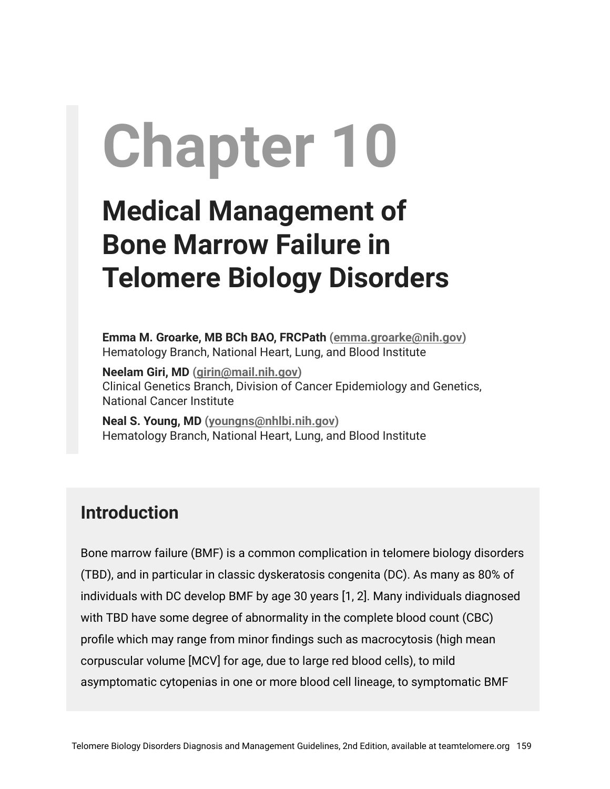# **Chapter 10**

# **Medical Management of Bone Marrow Failure in Telomere Biology Disorders**

**Emma M. Groarke, MB BCh BAO, FRCPath ([emma.groarke@nih.gov\)](mailto:emma.groarke@nih.gov)** Hematology Branch, National Heart, Lung, and Blood Institute

**Neelam Giri, MD [\(girin@mail.nih.gov\)](mailto:girin@mail.nih.gov)** Clinical Genetics Branch, Division of Cancer Epidemiology and Genetics, National Cancer Institute

**Neal S. Young, MD ([youngns@nhlbi.nih.gov](mailto:youngns@nhlbi.nih.gov))** Hematology Branch, National Heart, Lung, and Blood Institute

# **Introduction**

Bone marrow failure (BMF) is a common complication in telomere biology disorders (TBD), and in particular in classic dyskeratosis congenita (DC). As many as 80% of individuals with DC develop BMF by age 30 years [1, 2]. Many individuals diagnosed with TBD have some degree of abnormality in the complete blood count (CBC) profile which may range from minor findings such as macrocytosis (high mean corpuscular volume [MCV] for age, due to large red blood cells), to mild asymptomatic cytopenias in one or more blood cell lineage, to symptomatic BMF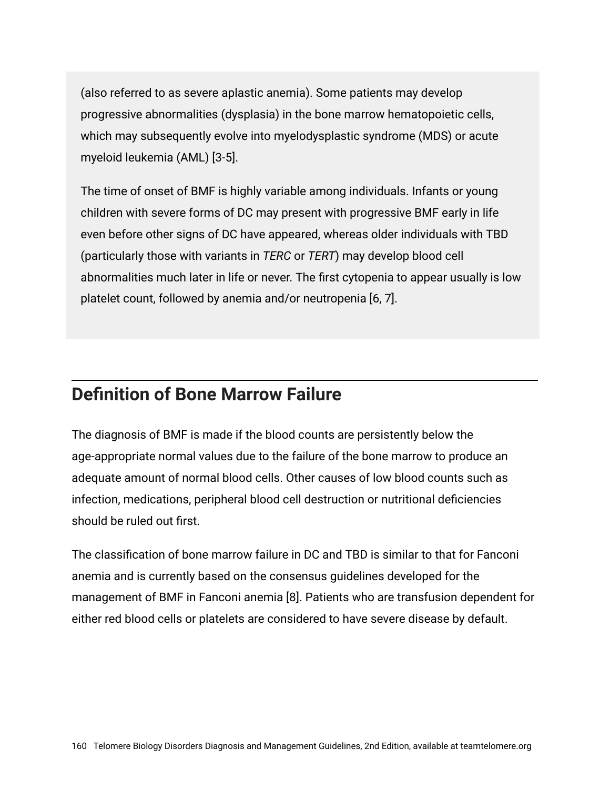(also referred to as severe aplastic anemia). Some patients may develop progressive abnormalities (dysplasia) in the bone marrow hematopoietic cells, which may subsequently evolve into myelodysplastic syndrome (MDS) or acute myeloid leukemia (AML) [3-5].

The time of onset of BMF is highly variable among individuals. Infants or young children with severe forms of DC may present with progressive BMF early in life even before other signs of DC have appeared, whereas older individuals with TBD (particularly those with variants in *TERC* or *TERT*) may develop blood cell abnormalities much later in life or never. The first cytopenia to appear usually is low platelet count, followed by anemia and/or neutropenia [6, 7].

### **Definition of Bone Marrow Failure**

The diagnosis of BMF is made if the blood counts are persistently below the age-appropriate normal values due to the failure of the bone marrow to produce an adequate amount of normal blood cells. Other causes of low blood counts such as infection, medications, peripheral blood cell destruction or nutritional deficiencies should be ruled out first.

The classification of bone marrow failure in DC and TBD is similar to that for Fanconi anemia and is currently based on the consensus guidelines developed for the management of BMF in Fanconi anemia [8]. Patients who are transfusion dependent for either red blood cells or platelets are considered to have severe disease by default.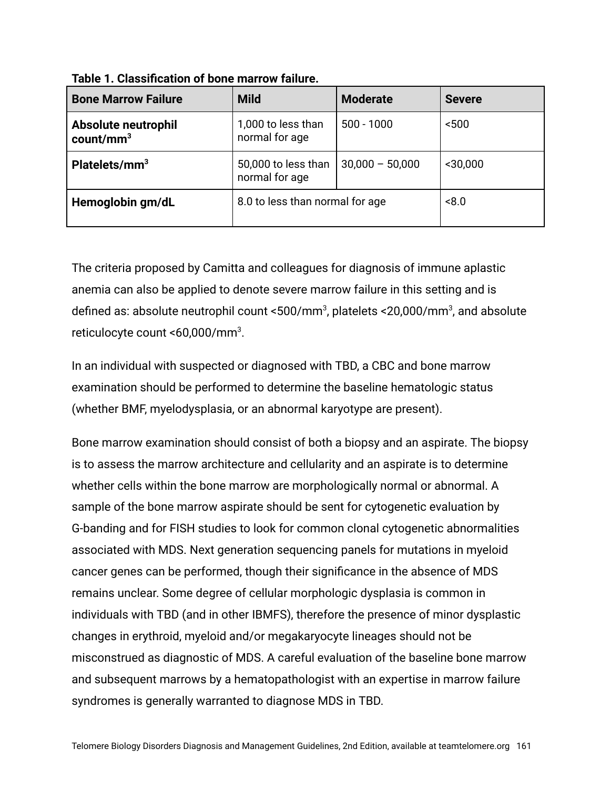| <b>Bone Marrow Failure</b>          | <b>Mild</b>                           | <b>Moderate</b>   | <b>Severe</b> |
|-------------------------------------|---------------------------------------|-------------------|---------------|
| Absolute neutrophil<br>$count/mm^3$ | 1,000 to less than<br>normal for age  | $500 - 1000$      | $500$         |
| Platelets/mm <sup>3</sup>           | 50,000 to less than<br>normal for age | $30,000 - 50,000$ | $<$ 30,000    |
| Hemoglobin gm/dL                    | 8.0 to less than normal for age       |                   | 8.0           |

**Table 1. Classification of bone marrow failure.**

The criteria proposed by Camitta and colleagues for diagnosis of immune aplastic anemia can also be applied to denote severe marrow failure in this setting and is defined as: absolute neutrophil count <500/mm $^3$ , platelets <20,000/mm $^3$ , and absolute reticulocyte count <60,000/mm<sup>3</sup>.

In an individual with suspected or diagnosed with TBD, a CBC and bone marrow examination should be performed to determine the baseline hematologic status (whether BMF, myelodysplasia, or an abnormal karyotype are present).

Bone marrow examination should consist of both a biopsy and an aspirate. The biopsy is to assess the marrow architecture and cellularity and an aspirate is to determine whether cells within the bone marrow are morphologically normal or abnormal. A sample of the bone marrow aspirate should be sent for cytogenetic evaluation by G-banding and for FISH studies to look for common clonal cytogenetic abnormalities associated with MDS. Next generation sequencing panels for mutations in myeloid cancer genes can be performed, though their significance in the absence of MDS remains unclear. Some degree of cellular morphologic dysplasia is common in individuals with TBD (and in other IBMFS), therefore the presence of minor dysplastic changes in erythroid, myeloid and/or megakaryocyte lineages should not be misconstrued as diagnostic of MDS. A careful evaluation of the baseline bone marrow and subsequent marrows by a hematopathologist with an expertise in marrow failure syndromes is generally warranted to diagnose MDS in TBD.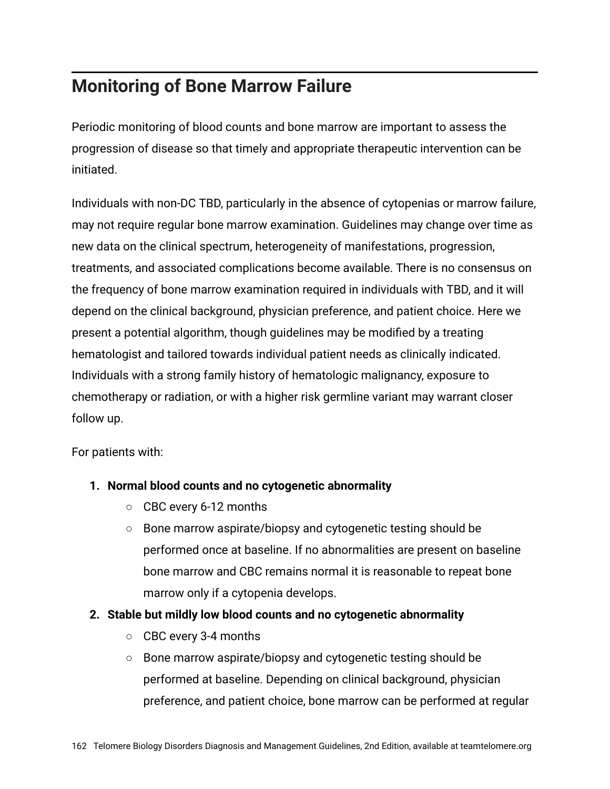# **Monitoring of Bone Marrow Failure**

Periodic monitoring of blood counts and bone marrow are important to assess the progression of disease so that timely and appropriate therapeutic intervention can be initiated.

Individuals with non-DC TBD, particularly in the absence of cytopenias or marrow failure, may not require regular bone marrow examination. Guidelines may change over time as new data on the clinical spectrum, heterogeneity of manifestations, progression, treatments, and associated complications become available. There is no consensus on the frequency of bone marrow examination required in individuals with TBD, and it will depend on the clinical background, physician preference, and patient choice. Here we present a potential algorithm, though guidelines may be modified by a treating hematologist and tailored towards individual patient needs as clinically indicated. Individuals with a strong family history of hematologic malignancy, exposure to chemotherapy or radiation, or with a higher risk germline variant may warrant closer follow up.

For patients with:

#### **1. Normal blood counts and no cytogenetic abnormality**

- CBC every 6-12 months
- Bone marrow aspirate/biopsy and cytogenetic testing should be performed once at baseline. If no abnormalities are present on baseline bone marrow and CBC remains normal it is reasonable to repeat bone marrow only if a cytopenia develops.

#### **2. Stable but mildly low blood counts and no cytogenetic abnormality**

- CBC every 3-4 months
- Bone marrow aspirate/biopsy and cytogenetic testing should be performed at baseline. Depending on clinical background, physician preference, and patient choice, bone marrow can be performed at regular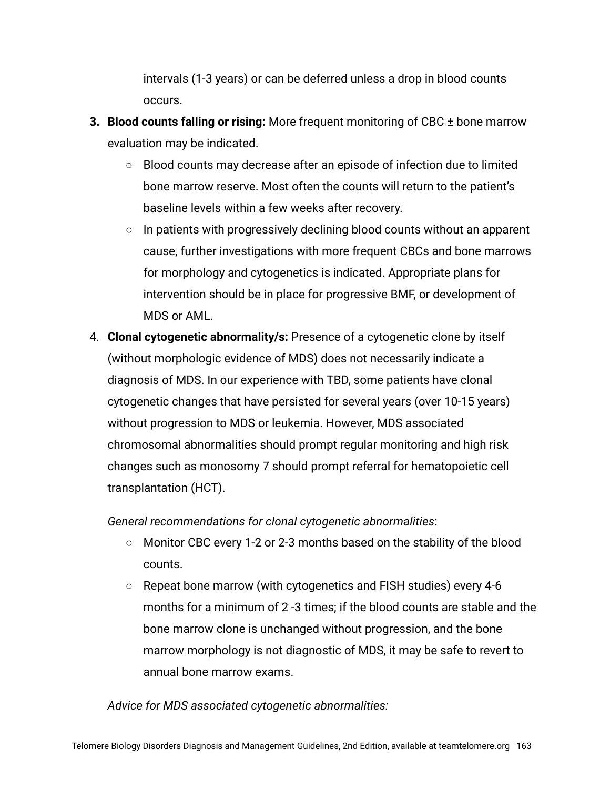intervals (1-3 years) or can be deferred unless a drop in blood counts occurs.

- **3. Blood counts falling or rising:** More frequent monitoring of CBC ± bone marrow evaluation may be indicated.
	- Blood counts may decrease after an episode of infection due to limited bone marrow reserve. Most often the counts will return to the patient's baseline levels within a few weeks after recovery.
	- In patients with progressively declining blood counts without an apparent cause, further investigations with more frequent CBCs and bone marrows for morphology and cytogenetics is indicated. Appropriate plans for intervention should be in place for progressive BMF, or development of MDS or AML.
- 4. **Clonal cytogenetic abnormality/s:** Presence of a cytogenetic clone by itself (without morphologic evidence of MDS) does not necessarily indicate a diagnosis of MDS. In our experience with TBD, some patients have clonal cytogenetic changes that have persisted for several years (over 10-15 years) without progression to MDS or leukemia. However, MDS associated chromosomal abnormalities should prompt regular monitoring and high risk changes such as monosomy 7 should prompt referral for hematopoietic cell transplantation (HCT).

*General recommendations for clonal cytogenetic abnormalities*:

- **○** Monitor CBC every 1-2 or 2-3 months based on the stability of the blood counts.
- **○** Repeat bone marrow (with cytogenetics and FISH studies) every 4-6 months for a minimum of 2 -3 times; if the blood counts are stable and the bone marrow clone is unchanged without progression, and the bone marrow morphology is not diagnostic of MDS, it may be safe to revert to annual bone marrow exams.

*Advice for MDS associated cytogenetic abnormalities:*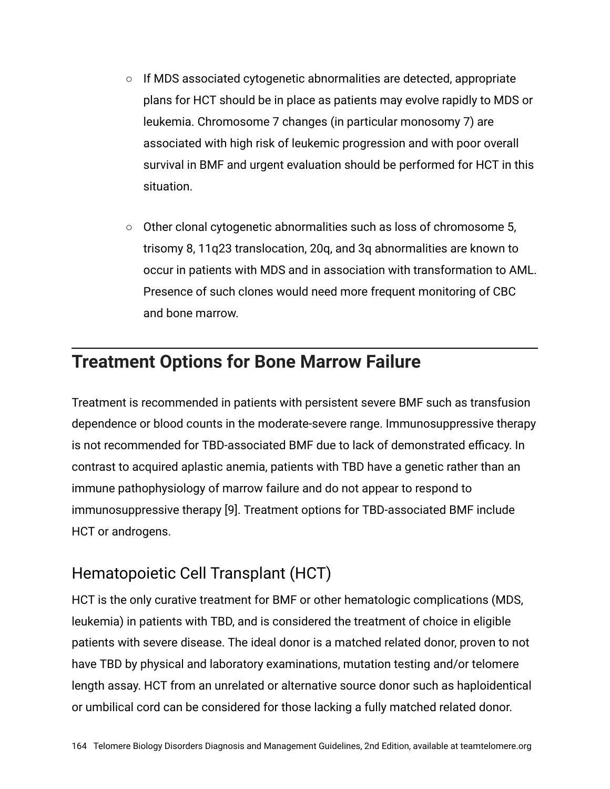- **○** If MDS associated cytogenetic abnormalities are detected, appropriate plans for HCT should be in place as patients may evolve rapidly to MDS or leukemia. Chromosome 7 changes (in particular monosomy 7) are associated with high risk of leukemic progression and with poor overall survival in BMF and urgent evaluation should be performed for HCT in this situation.
- **○** Other clonal cytogenetic abnormalities such as loss of chromosome 5, trisomy 8, 11q23 translocation, 20q, and 3q abnormalities are known to occur in patients with MDS and in association with transformation to AML. Presence of such clones would need more frequent monitoring of CBC and bone marrow.

# **Treatment Options for Bone Marrow Failure**

Treatment is recommended in patients with persistent severe BMF such as transfusion dependence or blood counts in the moderate-severe range. Immunosuppressive therapy is not recommended for TBD-associated BMF due to lack of demonstrated efficacy. In contrast to acquired aplastic anemia, patients with TBD have a genetic rather than an immune pathophysiology of marrow failure and do not appear to respond to immunosuppressive therapy [9]. Treatment options for TBD-associated BMF include HCT or androgens.

#### Hematopoietic Cell Transplant (HCT)

HCT is the only curative treatment for BMF or other hematologic complications (MDS, leukemia) in patients with TBD, and is considered the treatment of choice in eligible patients with severe disease. The ideal donor is a matched related donor, proven to not have TBD by physical and laboratory examinations, mutation testing and/or telomere length assay. HCT from an unrelated or alternative source donor such as haploidentical or umbilical cord can be considered for those lacking a fully matched related donor.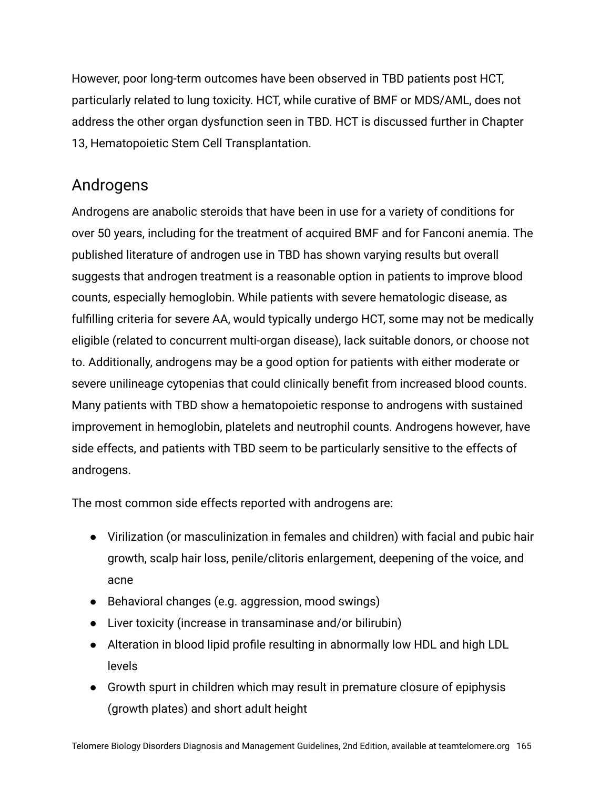However, poor long-term outcomes have been observed in TBD patients post HCT, particularly related to lung toxicity. HCT, while curative of BMF or MDS/AML, does not address the other organ dysfunction seen in TBD. HCT is discussed further in Chapter 13, Hematopoietic Stem Cell Transplantation.

#### Androgens

Androgens are anabolic steroids that have been in use for a variety of conditions for over 50 years, including for the treatment of acquired BMF and for Fanconi anemia. The published literature of androgen use in TBD has shown varying results but overall suggests that androgen treatment is a reasonable option in patients to improve blood counts, especially hemoglobin. While patients with severe hematologic disease, as fulfilling criteria for severe AA, would typically undergo HCT, some may not be medically eligible (related to concurrent multi-organ disease), lack suitable donors, or choose not to. Additionally, androgens may be a good option for patients with either moderate or severe unilineage cytopenias that could clinically benefit from increased blood counts. Many patients with TBD show a hematopoietic response to androgens with sustained improvement in hemoglobin, platelets and neutrophil counts. Androgens however, have side effects, and patients with TBD seem to be particularly sensitive to the effects of androgens.

The most common side effects reported with androgens are:

- Virilization (or masculinization in females and children) with facial and pubic hair growth, scalp hair loss, penile/clitoris enlargement, deepening of the voice, and acne
- Behavioral changes (e.g. aggression, mood swings)
- Liver toxicity (increase in transaminase and/or bilirubin)
- Alteration in blood lipid profile resulting in abnormally low HDL and high LDL levels
- Growth spurt in children which may result in premature closure of epiphysis (growth plates) and short adult height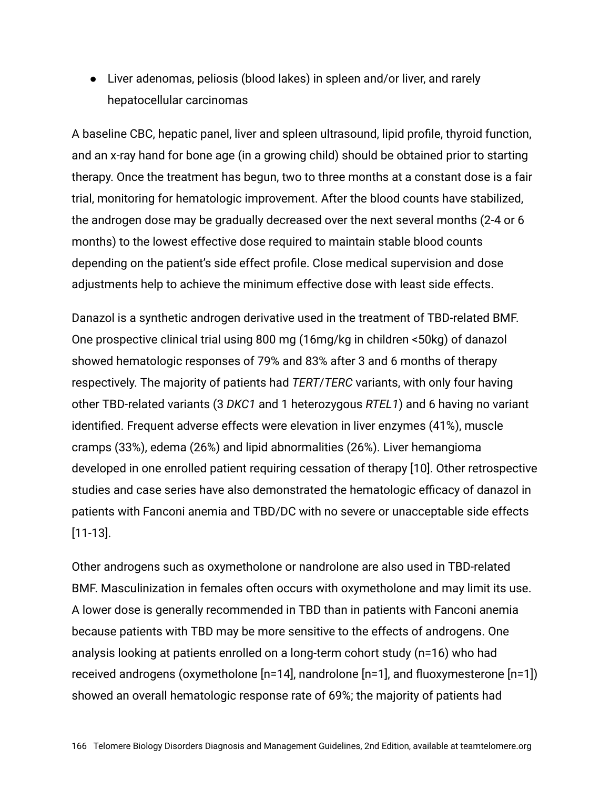● Liver adenomas, peliosis (blood lakes) in spleen and/or liver, and rarely hepatocellular carcinomas

A baseline CBC, hepatic panel, liver and spleen ultrasound, lipid profile, thyroid function, and an x-ray hand for bone age (in a growing child) should be obtained prior to starting therapy. Once the treatment has begun, two to three months at a constant dose is a fair trial, monitoring for hematologic improvement. After the blood counts have stabilized, the androgen dose may be gradually decreased over the next several months (2-4 or 6 months) to the lowest effective dose required to maintain stable blood counts depending on the patient's side effect profile. Close medical supervision and dose adjustments help to achieve the minimum effective dose with least side effects.

Danazol is a synthetic androgen derivative used in the treatment of TBD-related BMF. One prospective clinical trial using 800 mg (16mg/kg in children <50kg) of danazol showed hematologic responses of 79% and 83% after 3 and 6 months of therapy respectively. The majority of patients had *TERT*/*TERC* variants, with only four having other TBD-related variants (3 *DKC1* and 1 heterozygous *RTEL1*) and 6 having no variant identified. Frequent adverse effects were elevation in liver enzymes (41%), muscle cramps (33%), edema (26%) and lipid abnormalities (26%). Liver hemangioma developed in one enrolled patient requiring cessation of therapy [10]. Other retrospective studies and case series have also demonstrated the hematologic efficacy of danazol in patients with Fanconi anemia and TBD/DC with no severe or unacceptable side effects [11-13].

Other androgens such as oxymetholone or nandrolone are also used in TBD-related BMF. Masculinization in females often occurs with oxymetholone and may limit its use. A lower dose is generally recommended in TBD than in patients with Fanconi anemia because patients with TBD may be more sensitive to the effects of androgens. One analysis looking at patients enrolled on a long-term cohort study (n=16) who had received androgens (oxymetholone [n=14], nandrolone [n=1], and fluoxymesterone [n=1]) showed an overall hematologic response rate of 69%; the majority of patients had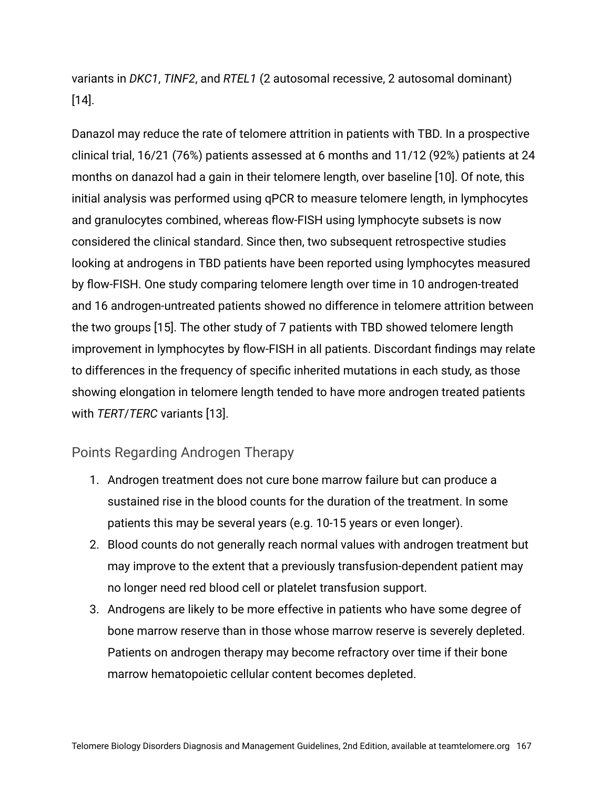variants in *DKC1*, *TINF2*, and *RTEL1* (2 autosomal recessive, 2 autosomal dominant) [14].

Danazol may reduce the rate of telomere attrition in patients with TBD. In a prospective clinical trial, 16/21 (76%) patients assessed at 6 months and 11/12 (92%) patients at 24 months on danazol had a gain in their telomere length, over baseline [10]. Of note, this initial analysis was performed using qPCR to measure telomere length, in lymphocytes and granulocytes combined, whereas flow-FISH using lymphocyte subsets is now considered the clinical standard. Since then, two subsequent retrospective studies looking at androgens in TBD patients have been reported using lymphocytes measured by flow-FISH. One study comparing telomere length over time in 10 androgen-treated and 16 androgen-untreated patients showed no difference in telomere attrition between the two groups [15]. The other study of 7 patients with TBD showed telomere length improvement in lymphocytes by flow-FISH in all patients. Discordant findings may relate to differences in the frequency of specific inherited mutations in each study, as those showing elongation in telomere length tended to have more androgen treated patients with *TERT*/*TERC* variants [13].

#### Points Regarding Androgen Therapy

- 1. Androgen treatment does not cure bone marrow failure but can produce a sustained rise in the blood counts for the duration of the treatment. In some patients this may be several years (e.g. 10-15 years or even longer).
- 2. Blood counts do not generally reach normal values with androgen treatment but may improve to the extent that a previously transfusion-dependent patient may no longer need red blood cell or platelet transfusion support.
- 3. Androgens are likely to be more effective in patients who have some degree of bone marrow reserve than in those whose marrow reserve is severely depleted. Patients on androgen therapy may become refractory over time if their bone marrow hematopoietic cellular content becomes depleted.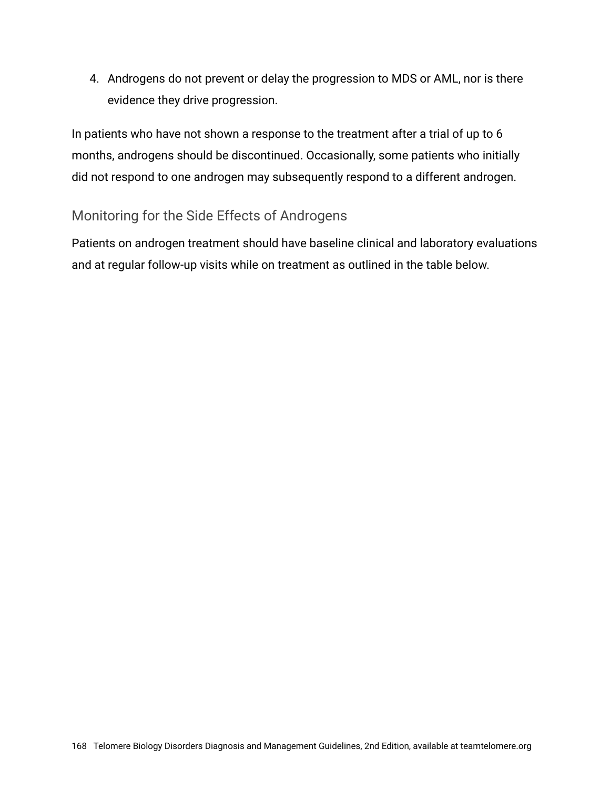4. Androgens do not prevent or delay the progression to MDS or AML, nor is there evidence they drive progression.

In patients who have not shown a response to the treatment after a trial of up to 6 months, androgens should be discontinued. Occasionally, some patients who initially did not respond to one androgen may subsequently respond to a different androgen.

#### Monitoring for the Side Effects of Androgens

Patients on androgen treatment should have baseline clinical and laboratory evaluations and at regular follow-up visits while on treatment as outlined in the table below.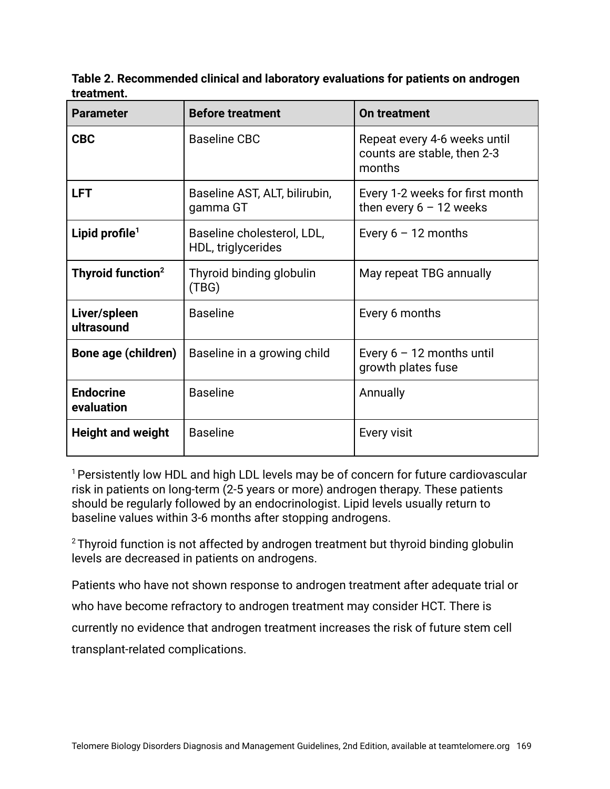**Table 2. Recommended clinical and laboratory evaluations for patients on androgen treatment.**

| <b>Parameter</b>               | <b>Before treatment</b>                          | On treatment                                                          |
|--------------------------------|--------------------------------------------------|-----------------------------------------------------------------------|
| <b>CBC</b>                     | <b>Baseline CBC</b>                              | Repeat every 4-6 weeks until<br>counts are stable, then 2-3<br>months |
| <b>LFT</b>                     | Baseline AST, ALT, bilirubin,<br>gamma GT        | Every 1-2 weeks for first month<br>then every $6 - 12$ weeks          |
| Lipid profile <sup>1</sup>     | Baseline cholesterol, LDL,<br>HDL, triglycerides | Every $6 - 12$ months                                                 |
| Thyroid function <sup>2</sup>  | Thyroid binding globulin<br>(TBG)                | May repeat TBG annually                                               |
| Liver/spleen<br>ultrasound     | <b>Baseline</b>                                  | Every 6 months                                                        |
| Bone age (children)            | Baseline in a growing child                      | Every $6 - 12$ months until<br>growth plates fuse                     |
| <b>Endocrine</b><br>evaluation | <b>Baseline</b>                                  | Annually                                                              |
| <b>Height and weight</b>       | <b>Baseline</b>                                  | Every visit                                                           |

<sup>1</sup> Persistently low HDL and high LDL levels may be of concern for future cardiovascular risk in patients on long-term (2-5 years or more) androgen therapy. These patients should be regularly followed by an endocrinologist. Lipid levels usually return to baseline values within 3-6 months after stopping androgens.

 $2$ Thyroid function is not affected by androgen treatment but thyroid binding globulin levels are decreased in patients on androgens.

Patients who have not shown response to androgen treatment after adequate trial or who have become refractory to androgen treatment may consider HCT. There is currently no evidence that androgen treatment increases the risk of future stem cell transplant-related complications.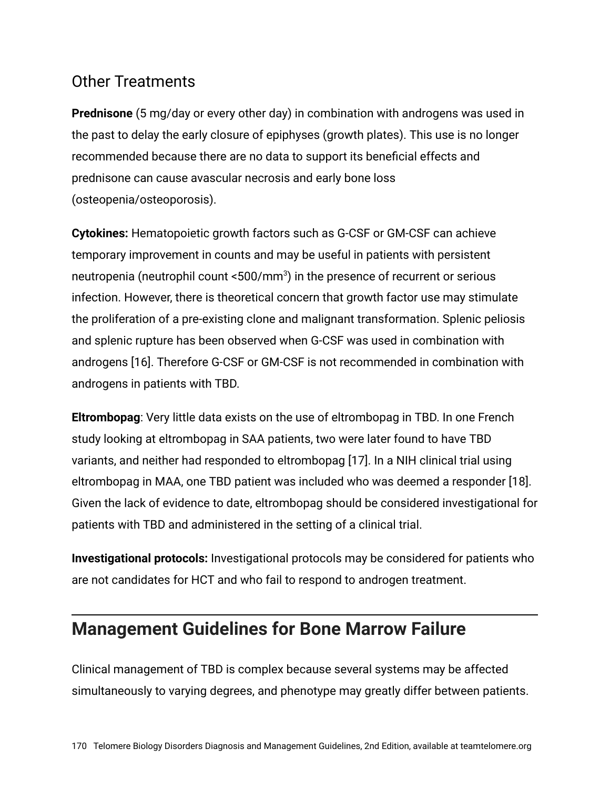#### Other Treatments

**Prednisone** (5 mg/day or every other day) in combination with androgens was used in the past to delay the early closure of epiphyses (growth plates). This use is no longer recommended because there are no data to support its beneficial effects and prednisone can cause avascular necrosis and early bone loss (osteopenia/osteoporosis).

**Cytokines:** Hematopoietic growth factors such as G-CSF or GM-CSF can achieve temporary improvement in counts and may be useful in patients with persistent neutropenia (neutrophil count <500/mm $^3$ ) in the presence of recurrent or serious infection. However, there is theoretical concern that growth factor use may stimulate the proliferation of a pre-existing clone and malignant transformation. Splenic peliosis and splenic rupture has been observed when G-CSF was used in combination with androgens [16]. Therefore G-CSF or GM-CSF is not recommended in combination with androgens in patients with TBD.

**Eltrombopag**: Very little data exists on the use of eltrombopag in TBD. In one French study looking at eltrombopag in SAA patients, two were later found to have TBD variants, and neither had responded to eltrombopag [17]. In a NIH clinical trial using eltrombopag in MAA, one TBD patient was included who was deemed a responder [18]. Given the lack of evidence to date, eltrombopag should be considered investigational for patients with TBD and administered in the setting of a clinical trial.

**Investigational protocols:** Investigational protocols may be considered for patients who are not candidates for HCT and who fail to respond to androgen treatment.

# **Management Guidelines for Bone Marrow Failure**

Clinical management of TBD is complex because several systems may be affected simultaneously to varying degrees, and phenotype may greatly differ between patients.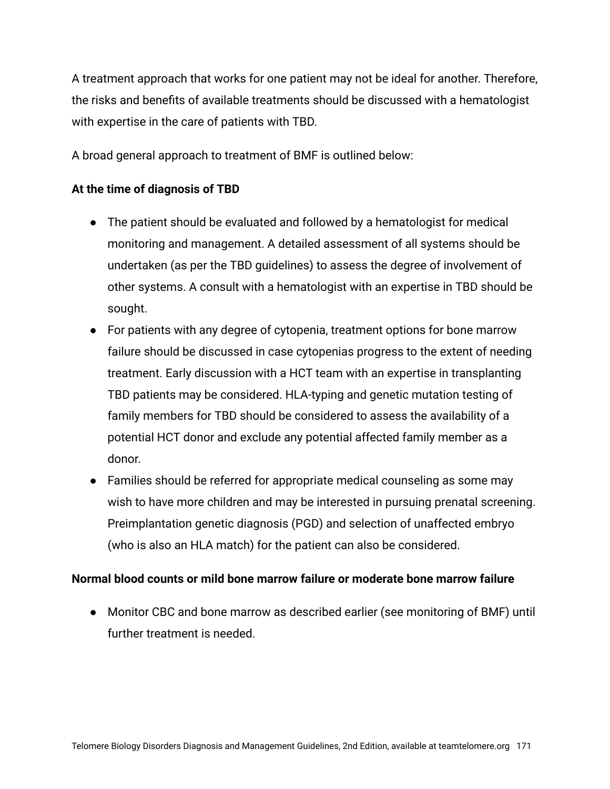A treatment approach that works for one patient may not be ideal for another. Therefore, the risks and benefits of available treatments should be discussed with a hematologist with expertise in the care of patients with TBD.

A broad general approach to treatment of BMF is outlined below:

#### **At the time of diagnosis of TBD**

- The patient should be evaluated and followed by a hematologist for medical monitoring and management. A detailed assessment of all systems should be undertaken (as per the TBD guidelines) to assess the degree of involvement of other systems. A consult with a hematologist with an expertise in TBD should be sought.
- For patients with any degree of cytopenia, treatment options for bone marrow failure should be discussed in case cytopenias progress to the extent of needing treatment. Early discussion with a HCT team with an expertise in transplanting TBD patients may be considered. HLA-typing and genetic mutation testing of family members for TBD should be considered to assess the availability of a potential HCT donor and exclude any potential affected family member as a donor.
- Families should be referred for appropriate medical counseling as some may wish to have more children and may be interested in pursuing prenatal screening. Preimplantation genetic diagnosis (PGD) and selection of unaffected embryo (who is also an HLA match) for the patient can also be considered.

#### **Normal blood counts or mild bone marrow failure or moderate bone marrow failure**

● Monitor CBC and bone marrow as described earlier (see monitoring of BMF) until further treatment is needed.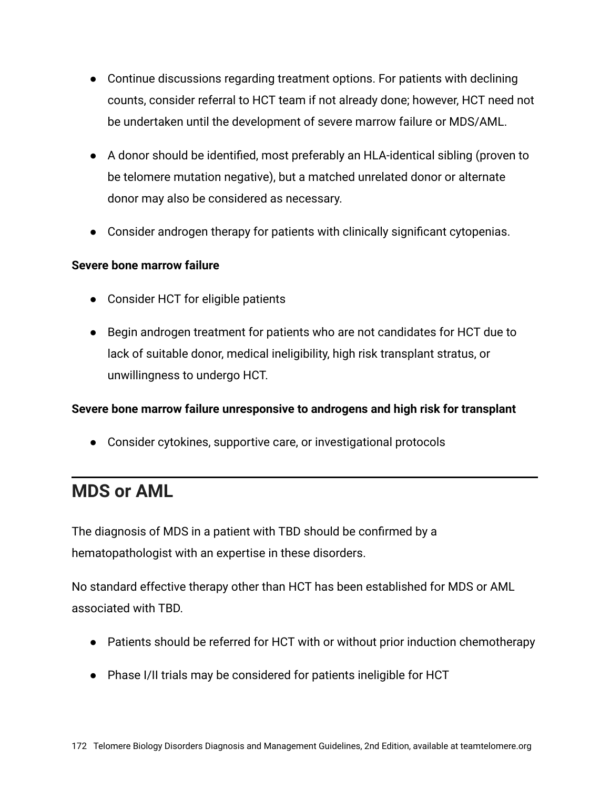- Continue discussions regarding treatment options. For patients with declining counts, consider referral to HCT team if not already done; however, HCT need not be undertaken until the development of severe marrow failure or MDS/AML.
- A donor should be identified, most preferably an HLA-identical sibling (proven to be telomere mutation negative), but a matched unrelated donor or alternate donor may also be considered as necessary.
- Consider androgen therapy for patients with clinically significant cytopenias.

#### **Severe bone marrow failure**

- Consider HCT for eligible patients
- Begin androgen treatment for patients who are not candidates for HCT due to lack of suitable donor, medical ineligibility, high risk transplant stratus, or unwillingness to undergo HCT.

#### **Severe bone marrow failure unresponsive to androgens and high risk for transplant**

● Consider cytokines, supportive care, or investigational protocols

# **MDS or AML**

The diagnosis of MDS in a patient with TBD should be confirmed by a hematopathologist with an expertise in these disorders.

No standard effective therapy other than HCT has been established for MDS or AML associated with TBD.

- Patients should be referred for HCT with or without prior induction chemotherapy
- Phase I/II trials may be considered for patients ineligible for HCT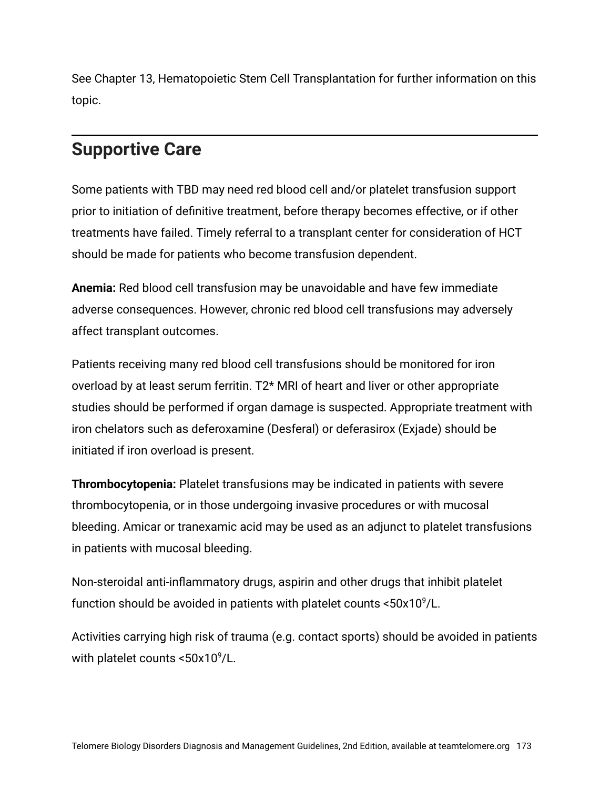See Chapter 13, Hematopoietic Stem Cell Transplantation for further information on this topic.

### **Supportive Care**

Some patients with TBD may need red blood cell and/or platelet transfusion support prior to initiation of definitive treatment, before therapy becomes effective, or if other treatments have failed. Timely referral to a transplant center for consideration of HCT should be made for patients who become transfusion dependent.

**Anemia:** Red blood cell transfusion may be unavoidable and have few immediate adverse consequences. However, chronic red blood cell transfusions may adversely affect transplant outcomes.

Patients receiving many red blood cell transfusions should be monitored for iron overload by at least serum ferritin. T2\* MRI of heart and liver or other appropriate studies should be performed if organ damage is suspected. Appropriate treatment with iron chelators such as deferoxamine (Desferal) or deferasirox (Exjade) should be initiated if iron overload is present.

**Thrombocytopenia:** Platelet transfusions may be indicated in patients with severe thrombocytopenia, or in those undergoing invasive procedures or with mucosal bleeding. Amicar or tranexamic acid may be used as an adjunct to platelet transfusions in patients with mucosal bleeding.

Non-steroidal anti-inflammatory drugs, aspirin and other drugs that inhibit platelet function should be avoided in patients with platelet counts  $<50x10^9/L$ .

Activities carrying high risk of trauma (e.g. contact sports) should be avoided in patients with platelet counts  $<50x10^9/L$ .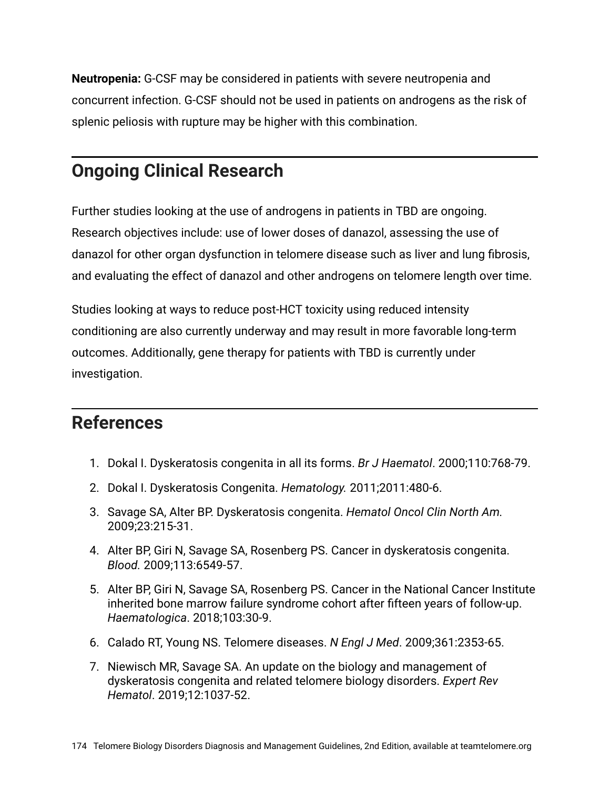**Neutropenia:** G-CSF may be considered in patients with severe neutropenia and concurrent infection. G-CSF should not be used in patients on androgens as the risk of splenic peliosis with rupture may be higher with this combination.

## **Ongoing Clinical Research**

Further studies looking at the use of androgens in patients in TBD are ongoing. Research objectives include: use of lower doses of danazol, assessing the use of danazol for other organ dysfunction in telomere disease such as liver and lung fibrosis, and evaluating the effect of danazol and other androgens on telomere length over time.

Studies looking at ways to reduce post-HCT toxicity using reduced intensity conditioning are also currently underway and may result in more favorable long-term outcomes. Additionally, gene therapy for patients with TBD is currently under investigation.

# **References**

- 1. Dokal I. Dyskeratosis congenita in all its forms. *Br J Haematol*. 2000;110:768-79.
- 2. Dokal I. Dyskeratosis Congenita. *Hematology.* 2011;2011:480-6.
- 3. Savage SA, Alter BP. Dyskeratosis congenita. *Hematol Oncol Clin North Am.* 2009;23:215-31.
- 4. Alter BP, Giri N, Savage SA, Rosenberg PS. Cancer in dyskeratosis congenita. *Blood.* 2009;113:6549-57.
- 5. Alter BP, Giri N, Savage SA, Rosenberg PS. Cancer in the National Cancer Institute inherited bone marrow failure syndrome cohort after fifteen years of follow-up. *Haematologica*. 2018;103:30-9.
- 6. Calado RT, Young NS. Telomere diseases. *N Engl J Med*. 2009;361:2353-65.
- 7. Niewisch MR, Savage SA. An update on the biology and management of dyskeratosis congenita and related telomere biology disorders. *Expert Rev Hematol*. 2019;12:1037-52.